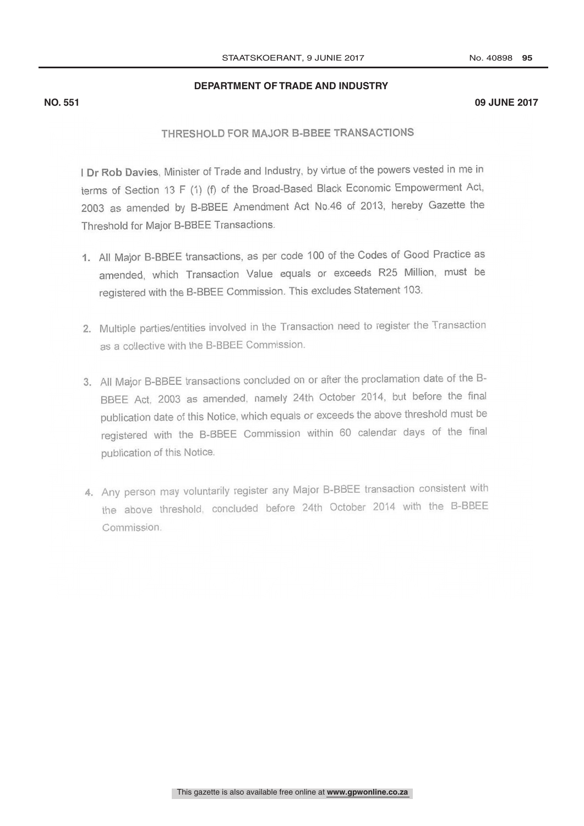## **DEPARTMENT OF TRADE AND INDUSTRY**

### **NO. 551 09 JUNE 2017**

# THRESHOLD FOR MAJOR B-BBEE TRANSACTIONS

I Dr Rob Davies, Minister of Trade and Industry, by virtue of the powers vested in me in terms of Section 13 F (1) (f) of the Broad-Based Black Economic Empowerment Act, 2003 as amended by B-BBEE Amendment Act No.46 of 2013, hereby Gazette the Threshold for Major B-BBEE Transactions.

- 1. All Major B-BBEE transactions, as per code 100 of the Codes of Good Practice as amended, which Transaction Value equals or exceeds R25 Million, must be registered with the B-BBEE Commission. This excludes Statement 103.
- 2. Multiple parties/entities involved in the Transaction need to register the Transaction as a collective with the B-BBEE Commission.
- 3. All Major B-BBEE transactions concluded on or after the proclamation date of the B-BBEE Act, 2003 as amended, namely 24th October 2014, but before the final publication date of this Notice, which equals or exceeds the above threshold must be registered with the B-BBEE Commission within 60 calendar days of the final publication of this Notice.
- 4. Any person may voluntarily register any Major B-BBEE transaction consistent with the above threshold, concluded before 24th October 2014 with the B-BBEE  $r_{\text{min}}$